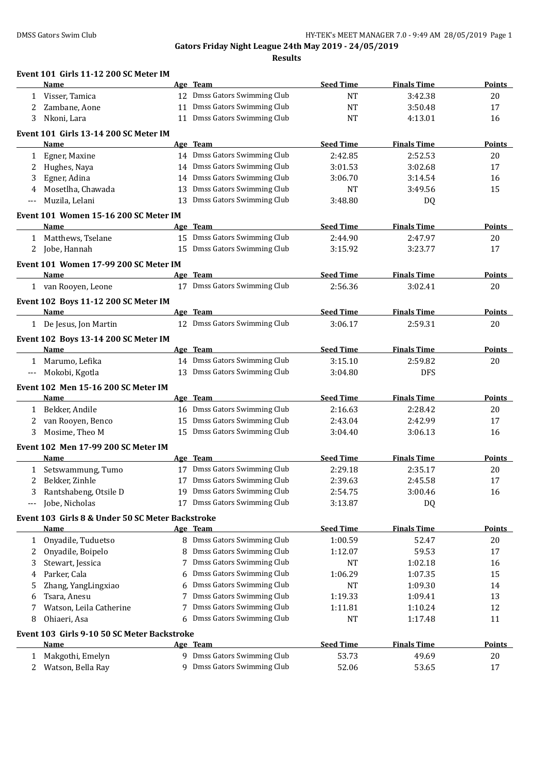**Gators Friday Night League 24th May 2019 - 24/05/2019 Results**

#### **Event 101 Girls 11-12 200 SC Meter IM**

|              | Name                                             |    | Age Team                                 | <b>Seed Time</b> | <b>Finals Time</b> | <b>Points</b> |
|--------------|--------------------------------------------------|----|------------------------------------------|------------------|--------------------|---------------|
| 1            | Visser, Tamica                                   |    | 12 Dmss Gators Swimming Club             | <b>NT</b>        | 3:42.38            | 20            |
| 2            | Zambane, Aone                                    | 11 | Dmss Gators Swimming Club                | NT               | 3:50.48            | 17            |
| 3            | Nkoni, Lara                                      |    | 11 Dmss Gators Swimming Club             | <b>NT</b>        | 4:13.01            | 16            |
|              | Event 101 Girls 13-14 200 SC Meter IM            |    |                                          |                  |                    |               |
|              | Name                                             |    | Age Team                                 | <b>Seed Time</b> | <b>Finals Time</b> | <b>Points</b> |
| 1            | Egner, Maxine                                    |    | 14 Dmss Gators Swimming Club             | 2:42.85          | 2:52.53            | 20            |
| 2            | Hughes, Naya                                     |    | 14 Dmss Gators Swimming Club             | 3:01.53          | 3:02.68            | 17            |
| 3            | Egner, Adina                                     |    | 14 Dmss Gators Swimming Club             | 3:06.70          | 3:14.54            | 16            |
| 4            | Mosetlha, Chawada                                | 13 | Dmss Gators Swimming Club                | NT               | 3:49.56            | 15            |
| $---$        | Muzila, Lelani                                   | 13 | Dmss Gators Swimming Club                | 3:48.80          | DQ                 |               |
|              |                                                  |    |                                          |                  |                    |               |
|              | Event 101 Women 15-16 200 SC Meter IM            |    |                                          |                  |                    |               |
|              | Name                                             |    | Age Team<br>15 Dmss Gators Swimming Club | <b>Seed Time</b> | <b>Finals Time</b> | Points        |
|              | 1 Matthews, Tselane                              |    | 15 Dmss Gators Swimming Club             | 2:44.90          | 2:47.97            | 20            |
| 2            | Jobe, Hannah                                     |    |                                          | 3:15.92          | 3:23.77            | 17            |
|              | Event 101 Women 17-99 200 SC Meter IM            |    |                                          |                  |                    |               |
|              | Name                                             |    | Age Team                                 | <b>Seed Time</b> | <b>Finals Time</b> | <b>Points</b> |
|              | 1 van Rooyen, Leone                              |    | 17 Dmss Gators Swimming Club             | 2:56.36          | 3:02.41            | 20            |
|              | Event 102 Boys 11-12 200 SC Meter IM             |    |                                          |                  |                    |               |
|              | Name                                             |    | Age Team                                 | <b>Seed Time</b> | <b>Finals Time</b> | Points        |
|              | 1 De Jesus, Jon Martin                           |    | 12 Dmss Gators Swimming Club             | 3:06.17          | 2:59.31            | 20            |
|              | Event 102 Boys 13-14 200 SC Meter IM             |    |                                          |                  |                    |               |
|              | Name                                             |    | Age Team                                 | <b>Seed Time</b> | <b>Finals Time</b> | <b>Points</b> |
|              | 1 Marumo, Lefika                                 |    | 14 Dmss Gators Swimming Club             | 3:15.10          | 2:59.82            | 20            |
| $---$        | Mokobi, Kgotla                                   |    | 13 Dmss Gators Swimming Club             | 3:04.80          | <b>DFS</b>         |               |
|              |                                                  |    |                                          |                  |                    |               |
|              | Event 102 Men 15-16 200 SC Meter IM              |    |                                          |                  |                    |               |
|              | Name                                             |    | Age Team                                 | <b>Seed Time</b> | <b>Finals Time</b> | <b>Points</b> |
|              | 1 Bekker, Andile                                 |    | 16 Dmss Gators Swimming Club             | 2:16.63          | 2:28.42            | 20            |
| 2            | van Rooyen, Benco                                |    | 15 Dmss Gators Swimming Club             | 2:43.04          | 2:42.99            | 17            |
| 3            | Mosime, Theo M                                   |    | 15 Dmss Gators Swimming Club             | 3:04.40          | 3:06.13            | 16            |
|              | Event 102 Men 17-99 200 SC Meter IM              |    |                                          |                  |                    |               |
|              | Name                                             |    | Age Team                                 | <b>Seed Time</b> | <b>Finals Time</b> | Points        |
| $\mathbf{1}$ | Setswammung, Tumo                                |    | 17 Dmss Gators Swimming Club             | 2:29.18          | 2:35.17            | 20            |
| 2            | Bekker, Zinhle                                   |    | 17 Dmss Gators Swimming Club             | 2:39.63          | 2:45.58            | 17            |
|              | Rantshabeng, Otsile D                            |    | 19 Dmss Gators Swimming Club             | 2:54.75          | 3:00.46            | 16            |
|              | Jobe, Nicholas                                   |    | 17 Dmss Gators Swimming Club             | 3:13.87          | DQ                 |               |
|              | Event 103 Girls 8 & Under 50 SC Meter Backstroke |    |                                          |                  |                    |               |
|              | Name                                             |    | Age Team                                 | <b>Seed Time</b> | <b>Finals Time</b> | <b>Points</b> |
| 1            | Onyadile, Tuduetso                               |    | 8 Dmss Gators Swimming Club              | 1:00.59          | 52.47              | 20            |
| 2            | Onyadile, Boipelo                                | 8  | Dmss Gators Swimming Club                | 1:12.07          | 59.53              | 17            |
| 3            | Stewart, Jessica                                 |    | Dmss Gators Swimming Club                | NT               | 1:02.18            | 16            |
| 4            | Parker, Cala                                     | 6  | Dmss Gators Swimming Club                | 1:06.29          | 1:07.35            | 15            |
| 5            | Zhang, YangLingxiao                              | 6  | Dmss Gators Swimming Club                | NT               | 1:09.30            | 14            |
| 6            | Tsara, Anesu                                     | 7  | Dmss Gators Swimming Club                | 1:19.33          | 1:09.41            | 13            |
| 7            | Watson, Leila Catherine                          | 7  | Dmss Gators Swimming Club                | 1:11.81          | 1:10.24            | 12            |
| 8            | Ohiaeri, Asa                                     | 6  | Dmss Gators Swimming Club                | NT               | 1:17.48            | 11            |
|              | Event 103 Girls 9-10 50 SC Meter Backstroke      |    |                                          |                  |                    |               |
|              | Name                                             |    | <u>Age Team</u>                          | <b>Seed Time</b> | <b>Finals Time</b> | <b>Points</b> |
| 1            | Makgothi, Emelyn                                 |    | 9 Dmss Gators Swimming Club              | 53.73            | 49.69              | 20            |
| 2            | Watson, Bella Ray                                |    | 9 Dmss Gators Swimming Club              | 52.06            | 53.65              | 17            |
|              |                                                  |    |                                          |                  |                    |               |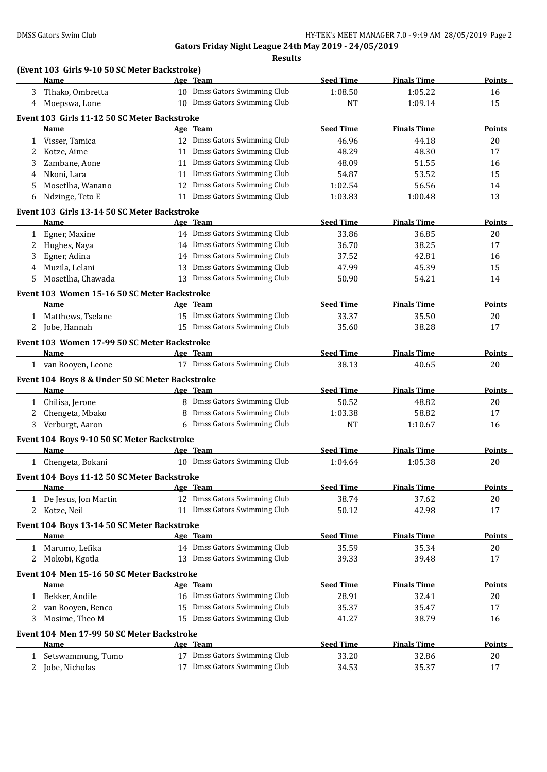# **Gators Friday Night League 24th May 2019 - 24/05/2019**

**Results**

#### **(Event 103 Girls 9-10 50 SC Meter Backstroke)**

|              | Name                                                 | Age Team                     | <b>Seed Time</b> | <b>Finals Time</b> | <b>Points</b> |
|--------------|------------------------------------------------------|------------------------------|------------------|--------------------|---------------|
| 3            | Tlhako, Ombretta                                     | 10 Dmss Gators Swimming Club | 1:08.50          | 1:05.22            | 16            |
|              | 4 Moepswa, Lone                                      | 10 Dmss Gators Swimming Club | NT               | 1:09.14            | 15            |
|              | Event 103 Girls 11-12 50 SC Meter Backstroke         |                              |                  |                    |               |
|              | Name                                                 | Age Team                     | <b>Seed Time</b> | <b>Finals Time</b> | <b>Points</b> |
| $\mathbf{1}$ | Visser, Tamica                                       | 12 Dmss Gators Swimming Club | 46.96            | 44.18              | 20            |
| 2            | Kotze, Aime                                          | 11 Dmss Gators Swimming Club | 48.29            | 48.30              | 17            |
| 3            | Zambane, Aone                                        | 11 Dmss Gators Swimming Club | 48.09            | 51.55              | 16            |
| 4            | Nkoni, Lara                                          | 11 Dmss Gators Swimming Club | 54.87            | 53.52              | 15            |
| 5            | Mosetlha, Wanano                                     | 12 Dmss Gators Swimming Club | 1:02.54          | 56.56              | 14            |
| 6            | Ndzinge, Teto E                                      | 11 Dmss Gators Swimming Club | 1:03.83          | 1:00.48            | 13            |
|              |                                                      |                              |                  |                    |               |
|              | Event 103 Girls 13-14 50 SC Meter Backstroke<br>Name | Age Team                     | <b>Seed Time</b> | <b>Finals Time</b> | <b>Points</b> |
|              | Egner, Maxine                                        | 14 Dmss Gators Swimming Club | 33.86            | 36.85              | 20            |
| 1<br>2       | Hughes, Naya                                         | 14 Dmss Gators Swimming Club | 36.70            | 38.25              | 17            |
| 3            | Egner, Adina                                         | 14 Dmss Gators Swimming Club | 37.52            | 42.81              | 16            |
| 4            | Muzila, Lelani                                       | 13 Dmss Gators Swimming Club | 47.99            | 45.39              | 15            |
| 5.           | Mosetlha, Chawada                                    | 13 Dmss Gators Swimming Club | 50.90            | 54.21              | 14            |
|              |                                                      |                              |                  |                    |               |
|              | Event 103 Women 15-16 50 SC Meter Backstroke         |                              |                  |                    |               |
|              | Name                                                 | Age Team                     | <b>Seed Time</b> | <b>Finals Time</b> | <b>Points</b> |
|              | 1 Matthews, Tselane                                  | 15 Dmss Gators Swimming Club | 33.37            | 35.50              | 20            |
|              | 2 Jobe, Hannah                                       | 15 Dmss Gators Swimming Club | 35.60            | 38.28              | 17            |
|              | Event 103 Women 17-99 50 SC Meter Backstroke         |                              |                  |                    |               |
|              | Name                                                 | Age Team                     | <b>Seed Time</b> | <b>Finals Time</b> | <b>Points</b> |
|              | 1 van Rooyen, Leone                                  | 17 Dmss Gators Swimming Club | 38.13            | 40.65              | 20            |
|              | Event 104 Boys 8 & Under 50 SC Meter Backstroke      |                              |                  |                    |               |
|              | Name                                                 | Age Team                     | <b>Seed Time</b> | <b>Finals Time</b> | Points        |
| $\mathbf{1}$ | Chilisa, Jerone                                      | 8 Dmss Gators Swimming Club  | 50.52            | 48.82              | 20            |
| 2            | Chengeta, Mbako                                      | 8 Dmss Gators Swimming Club  | 1:03.38          | 58.82              | 17            |
| 3            | Verburgt, Aaron                                      | 6 Dmss Gators Swimming Club  | <b>NT</b>        | 1:10.67            | 16            |
|              | Event 104 Boys 9-10 50 SC Meter Backstroke           |                              |                  |                    |               |
|              | Name                                                 | Age Team                     | <b>Seed Time</b> | <b>Finals Time</b> | <b>Points</b> |
|              | 1 Chengeta, Bokani                                   | 10 Dmss Gators Swimming Club | 1:04.64          | 1:05.38            | 20            |
|              |                                                      |                              |                  |                    |               |
|              | Event 104 Boys 11-12 50 SC Meter Backstroke          |                              |                  |                    |               |
|              | <u>Name</u>                                          | <u>Age Team</u>              | <b>Seed Time</b> | <b>Finals Time</b> | <u>Points</u> |
| 1            | De Jesus, Jon Martin                                 | 12 Dmss Gators Swimming Club | 38.74            | 37.62              | 20            |
| 2            | Kotze, Neil                                          | 11 Dmss Gators Swimming Club | 50.12            | 42.98              | 17            |
|              | Event 104 Boys 13-14 50 SC Meter Backstroke          |                              |                  |                    |               |
|              | Name                                                 | Age Team                     | <b>Seed Time</b> | <b>Finals Time</b> | <b>Points</b> |
| 1            | Marumo, Lefika                                       | 14 Dmss Gators Swimming Club | 35.59            | 35.34              | 20            |
| 2            | Mokobi, Kgotla                                       | 13 Dmss Gators Swimming Club | 39.33            | 39.48              | 17            |
|              | Event 104 Men 15-16 50 SC Meter Backstroke           |                              |                  |                    |               |
|              | Name                                                 | Age Team                     | <b>Seed Time</b> | <b>Finals Time</b> | <b>Points</b> |
| $\mathbf{1}$ | Bekker, Andile                                       | 16 Dmss Gators Swimming Club | 28.91            | 32.41              | 20            |
| 2            | van Rooyen, Benco                                    | 15 Dmss Gators Swimming Club | 35.37            | 35.47              | 17            |
| 3            | Mosime, Theo M                                       | 15 Dmss Gators Swimming Club | 41.27            | 38.79              | 16            |
|              |                                                      |                              |                  |                    |               |
|              | Event 104 Men 17-99 50 SC Meter Backstroke<br>Name   | Age Team                     | <b>Seed Time</b> | <b>Finals Time</b> | <b>Points</b> |
|              |                                                      | 17 Dmss Gators Swimming Club |                  |                    |               |
|              | 1 Setswammung, Tumo                                  | 17 Dmss Gators Swimming Club | 33.20            | 32.86              | 20            |
|              | 2 Jobe, Nicholas                                     |                              | 34.53            | 35.37              | 17            |